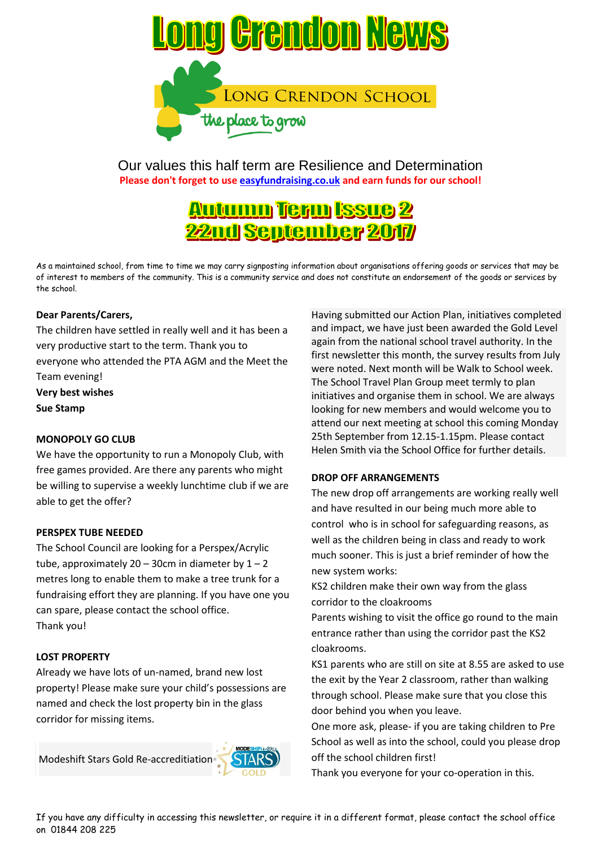

Our values this half term are Resilience and Determination **Please don't forget to use easyfundraising.co.uk and earn funds for our school!**

# <u>Autumn Term Issue 2</u> **22nd September 2017**

As a maintained school, from time to time we may carry signposting information about organisations offering goods or services that may be of interest to members of the community. This is a community service and does not constitute an endorsement of the goods or services by the school.

#### **Dear Parents/Carers,**

The children have settled in really well and it has been a very productive start to the term. Thank you to everyone who attended the PTA AGM and the Meet the Team evening! **Very best wishes Sue Stamp**

#### **MONOPOLY GO CLUB**

We have the opportunity to run a Monopoly Club, with free games provided. Are there any parents who might be willing to supervise a weekly lunchtime club if we are able to get the offer?

#### **PERSPEX TUBE NEEDED**

The School Council are looking for a Perspex/Acrylic tube, approximately  $20 - 30$ cm in diameter by  $1 - 2$ metres long to enable them to make a tree trunk for a fundraising effort they are planning. If you have one you can spare, please contact the school office. Thank you!

#### **LOST PROPERTY**

Already we have lots of un-named, brand new lost property! Please make sure your child's possessions are named and check the lost property bin in the glass corridor for missing items.

Modeshift Stars Gold Re-accreditiation



#### **DROP OFF ARRANGEMENTS**

The new drop off arrangements are working really well and have resulted in our being much more able to control who is in school for safeguarding reasons, as well as the children being in class and ready to work much sooner. This is just a brief reminder of how the new system works:

KS2 children make their own way from the glass corridor to the cloakrooms

Parents wishing to visit the office go round to the main entrance rather than using the corridor past the KS2 cloakrooms.

KS1 parents who are still on site at 8.55 are asked to use the exit by the Year 2 classroom, rather than walking through school. Please make sure that you close this door behind you when you leave.

One more ask, please- if you are taking children to Pre School as well as into the school, could you please drop off the school children first!

Thank you everyone for your co-operation in this.